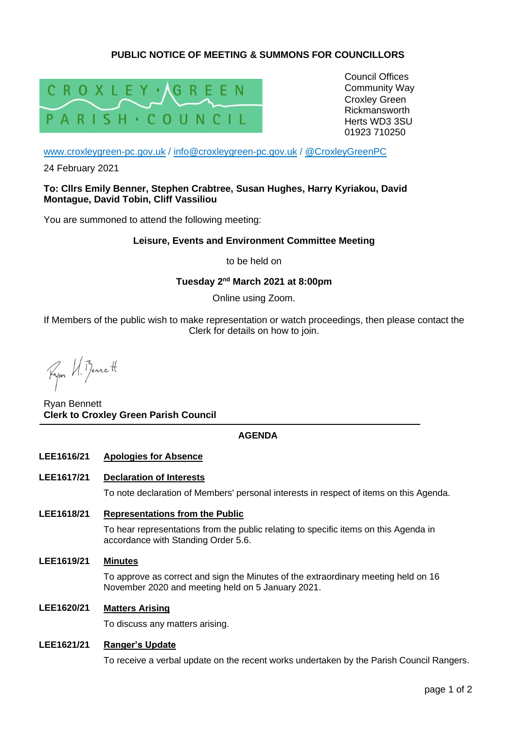# **PUBLIC NOTICE OF MEETING & SUMMONS FOR COUNCILLORS**



Council Offices Community Way Croxley Green Rickmansworth Herts WD3 3SU 01923 710250

[www.croxleygreen-pc.gov.uk](http://www.croxleygreen-pc.gov.uk/) / [info@croxleygreen-pc.gov.uk](mailto:info@croxleygreen-pc.gov.uk) / [@CroxleyGreenPC](https://twitter.com/CroxleyGreenPC)

24 February 2021

**To: Cllrs Emily Benner, Stephen Crabtree, Susan Hughes, Harry Kyriakou, David Montague, David Tobin, Cliff Vassiliou**

You are summoned to attend the following meeting:

#### **Leisure, Events and Environment Committee Meeting**

to be held on

# **Tuesday 2 nd March 2021 at 8:00pm**

Online using Zoom.

If Members of the public wish to make representation or watch proceedings, then please contact the Clerk for details on how to join.

Fyon U. Benett

Ryan Bennett **Clerk to Croxley Green Parish Council**

# **AGENDA**

#### **LEE1616/21 Apologies for Absence**

#### **LEE1617/21 Declaration of Interests**

To note declaration of Members' personal interests in respect of items on this Agenda.

**LEE1618/21 Representations from the Public**

To hear representations from the public relating to specific items on this Agenda in accordance with Standing Order 5.6.

**LEE1619/21 Minutes**

To approve as correct and sign the Minutes of the extraordinary meeting held on 16 November 2020 and meeting held on 5 January 2021.

# **LEE1620/21 Matters Arising**

To discuss any matters arising.

#### **LEE1621/21 Ranger's Update**

To receive a verbal update on the recent works undertaken by the Parish Council Rangers.